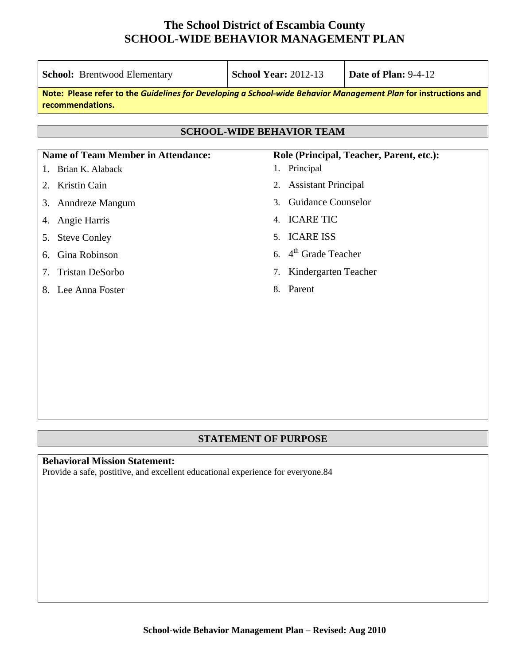| <b>School:</b> Brentwood Elementary                                                                                                 | <b>School Year: 2012-13</b>                                 | <b>Date of Plan: 9-4-12</b> |  |  |  |
|-------------------------------------------------------------------------------------------------------------------------------------|-------------------------------------------------------------|-----------------------------|--|--|--|
| Note: Please refer to the Guidelines for Developing a School-wide Behavior Management Plan for instructions and<br>recommendations. |                                                             |                             |  |  |  |
| <b>SCHOOL-WIDE BEHAVIOR TEAM</b>                                                                                                    |                                                             |                             |  |  |  |
|                                                                                                                                     |                                                             |                             |  |  |  |
| <b>Name of Team Member in Attendance:</b><br>Brian K. Alaback<br>1.                                                                 | Role (Principal, Teacher, Parent, etc.):<br>Principal<br>1. |                             |  |  |  |
| <b>Kristin Cain</b><br>2.                                                                                                           | <b>Assistant Principal</b><br>2.                            |                             |  |  |  |
| Anndreze Mangum<br>3.                                                                                                               | <b>Guidance Counselor</b><br>$\mathcal{E}$                  |                             |  |  |  |
| Angie Harris<br>4.                                                                                                                  | 4. ICARE TIC                                                |                             |  |  |  |
| <b>Steve Conley</b><br>5.                                                                                                           | <b>ICARE ISS</b><br>5 <sub>1</sub>                          |                             |  |  |  |
| Gina Robinson<br>6.                                                                                                                 | 6. $4th$ Grade Teacher                                      |                             |  |  |  |
| <b>Tristan DeSorbo</b><br>7.                                                                                                        | Kindergarten Teacher<br>7.                                  |                             |  |  |  |
| Lee Anna Foster<br>8.                                                                                                               | Parent<br>8.                                                |                             |  |  |  |
|                                                                                                                                     |                                                             |                             |  |  |  |
|                                                                                                                                     |                                                             |                             |  |  |  |
|                                                                                                                                     |                                                             |                             |  |  |  |
|                                                                                                                                     |                                                             |                             |  |  |  |

#### **STATEMENT OF PURPOSE**

## **Behavioral Mission Statement:**

Provide a safe, postitive, and excellent educational experience for everyone.84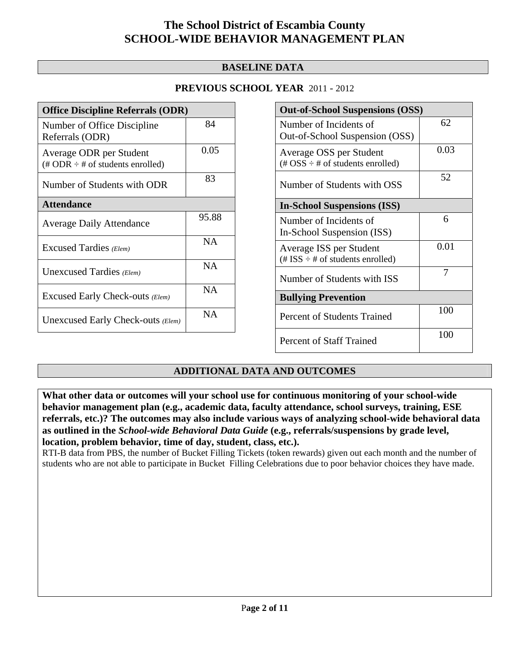#### **BASELINE DATA**

#### **PREVIOUS SCHOOL YEAR** 2011 - 2012

| <b>Office Discipline Referrals (ODR)</b>                                         |           |  |  |
|----------------------------------------------------------------------------------|-----------|--|--|
| Number of Office Discipline<br>Referrals (ODR)                                   | 84        |  |  |
| Average ODR per Student<br>$(\text{\# ODR} \div \text{\# of students enrolled})$ | 0.05      |  |  |
| Number of Students with ODR                                                      | 83        |  |  |
| <b>Attendance</b>                                                                |           |  |  |
| <b>Average Daily Attendance</b>                                                  | 95.88     |  |  |
| Excused Tardies (Elem)                                                           | <b>NA</b> |  |  |
| Unexcused Tardies (Elem)                                                         | <b>NA</b> |  |  |
| Excused Early Check-outs (Elem)                                                  | NA.       |  |  |
| Unexcused Early Check-outs (Elem)                                                | N A       |  |  |

| <b>Out-of-School Suspensions (OSS)</b>                                                          |      |  |  |  |
|-------------------------------------------------------------------------------------------------|------|--|--|--|
| Number of Incidents of<br>Out-of-School Suspension (OSS)                                        | 62   |  |  |  |
| Average OSS per Student<br>$(\text{\#} \text{OSS} \div \text{\#} \text{ of students enrolled})$ | 0.03 |  |  |  |
| Number of Students with OSS                                                                     | 52   |  |  |  |
| <b>In-School Suspensions (ISS)</b>                                                              |      |  |  |  |
| Number of Incidents of<br>In-School Suspension (ISS)                                            | 6    |  |  |  |
| Average ISS per Student<br>$(\text{\# ISS} \div \text{\# of students enrolled})$                | 0.01 |  |  |  |
| Number of Students with ISS                                                                     | 7    |  |  |  |
| <b>Bullying Prevention</b>                                                                      |      |  |  |  |
| Percent of Students Trained                                                                     | 100  |  |  |  |
| Percent of Staff Trained                                                                        | 100  |  |  |  |

## **ADDITIONAL DATA AND OUTCOMES**

**What other data or outcomes will your school use for continuous monitoring of your school-wide behavior management plan (e.g., academic data, faculty attendance, school surveys, training, ESE referrals, etc.)? The outcomes may also include various ways of analyzing school-wide behavioral data as outlined in the** *School-wide Behavioral Data Guide* **(e.g., referrals/suspensions by grade level, location, problem behavior, time of day, student, class, etc.).**

RTI-B data from PBS, the number of Bucket Filling Tickets (token rewards) given out each month and the number of students who are not able to participate in Bucket Filling Celebrations due to poor behavior choices they have made.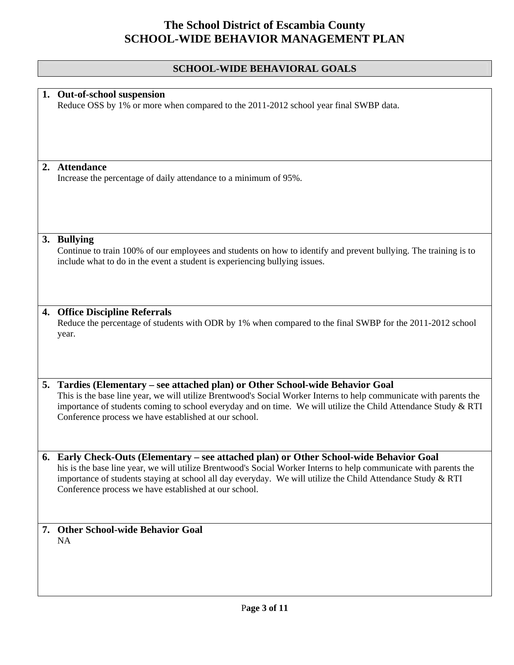## **SCHOOL-WIDE BEHAVIORAL GOALS**

| 1. Out-of-school suspension<br>Reduce OSS by 1% or more when compared to the 2011-2012 school year final SWBP data.                                                                                                                                                                                                                                                               |
|-----------------------------------------------------------------------------------------------------------------------------------------------------------------------------------------------------------------------------------------------------------------------------------------------------------------------------------------------------------------------------------|
| 2. Attendance<br>Increase the percentage of daily attendance to a minimum of 95%.                                                                                                                                                                                                                                                                                                 |
| 3. Bullying<br>Continue to train 100% of our employees and students on how to identify and prevent bullying. The training is to<br>include what to do in the event a student is experiencing bullying issues.                                                                                                                                                                     |
| 4. Office Discipline Referrals<br>Reduce the percentage of students with ODR by 1% when compared to the final SWBP for the 2011-2012 school<br>year.                                                                                                                                                                                                                              |
| 5. Tardies (Elementary – see attached plan) or Other School-wide Behavior Goal<br>This is the base line year, we will utilize Brentwood's Social Worker Interns to help communicate with parents the<br>importance of students coming to school everyday and on time. We will utilize the Child Attendance Study & RTI<br>Conference process we have established at our school.   |
| Early Check-Outs (Elementary - see attached plan) or Other School-wide Behavior Goal<br>his is the base line year, we will utilize Brentwood's Social Worker Interns to help communicate with parents the<br>importance of students staying at school all day everyday. We will utilize the Child Attendance Study & RTI<br>Conference process we have established at our school. |
| 7. Other School-wide Behavior Goal<br><b>NA</b>                                                                                                                                                                                                                                                                                                                                   |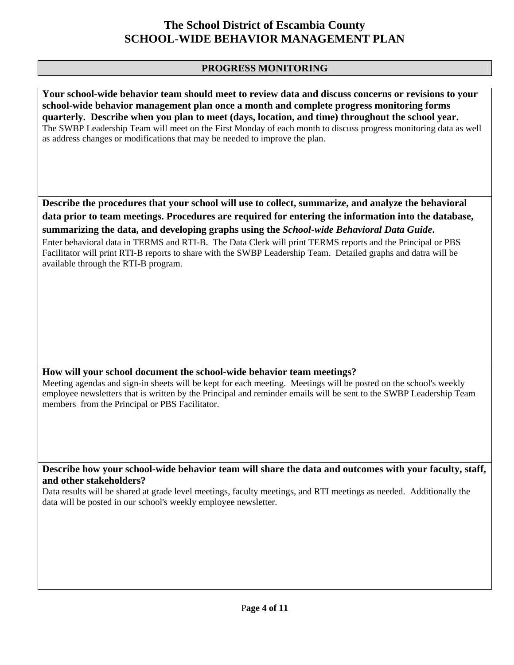#### **PROGRESS MONITORING**

**Your school-wide behavior team should meet to review data and discuss concerns or revisions to your school-wide behavior management plan once a month and complete progress monitoring forms quarterly. Describe when you plan to meet (days, location, and time) throughout the school year.**  The SWBP Leadership Team will meet on the First Monday of each month to discuss progress monitoring data as well as address changes or modifications that may be needed to improve the plan.

**Describe the procedures that your school will use to collect, summarize, and analyze the behavioral data prior to team meetings. Procedures are required for entering the information into the database, summarizing the data, and developing graphs using the** *School-wide Behavioral Data Guide***.** 

Enter behavioral data in TERMS and RTI-B. The Data Clerk will print TERMS reports and the Principal or PBS Facilitator will print RTI-B reports to share with the SWBP Leadership Team. Detailed graphs and datra will be available through the RTI-B program.

#### **How will your school document the school-wide behavior team meetings?**

Meeting agendas and sign-in sheets will be kept for each meeting. Meetings will be posted on the school's weekly employee newsletters that is written by the Principal and reminder emails will be sent to the SWBP Leadership Team members from the Principal or PBS Facilitator.

**Describe how your school-wide behavior team will share the data and outcomes with your faculty, staff, and other stakeholders?** 

Data results will be shared at grade level meetings, faculty meetings, and RTI meetings as needed. Additionally the data will be posted in our school's weekly employee newsletter.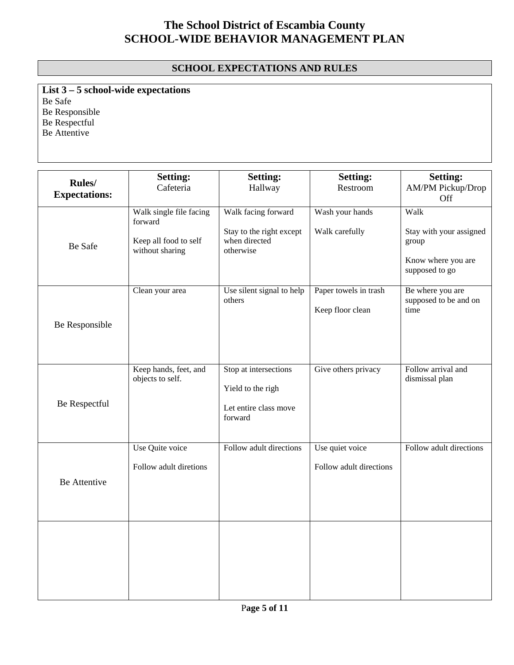## **SCHOOL EXPECTATIONS AND RULES**

**List 3 – 5 school-wide expectations** Be Safe Be Responsible Be Respectful Be Attentive

|                                        | <b>Setting:</b>                                             | <b>Setting:</b>                                                                | <b>Setting:</b>                           | <b>Setting:</b>                                   |
|----------------------------------------|-------------------------------------------------------------|--------------------------------------------------------------------------------|-------------------------------------------|---------------------------------------------------|
| <b>Rules</b> /<br><b>Expectations:</b> | Cafeteria                                                   | Hallway                                                                        | Restroom                                  | AM/PM Pickup/Drop<br>Off                          |
|                                        | Walk single file facing<br>forward<br>Keep all food to self | Walk facing forward<br>Stay to the right except<br>when directed               | Wash your hands<br>Walk carefully         | Walk<br>Stay with your assigned<br>group          |
| Be Safe                                | without sharing                                             | otherwise                                                                      |                                           | Know where you are<br>supposed to go              |
| Be Responsible                         | Clean your area                                             | Use silent signal to help<br>others                                            | Paper towels in trash<br>Keep floor clean | Be where you are<br>supposed to be and on<br>time |
| Be Respectful                          | Keep hands, feet, and<br>objects to self.                   | Stop at intersections<br>Yield to the righ<br>Let entire class move<br>forward | Give others privacy                       | Follow arrival and<br>dismissal plan              |
|                                        | Use Quite voice                                             | Follow adult directions                                                        | Use quiet voice                           | Follow adult directions                           |
| Be Attentive                           | Follow adult diretions                                      |                                                                                | Follow adult directions                   |                                                   |
|                                        |                                                             |                                                                                |                                           |                                                   |
|                                        |                                                             |                                                                                |                                           |                                                   |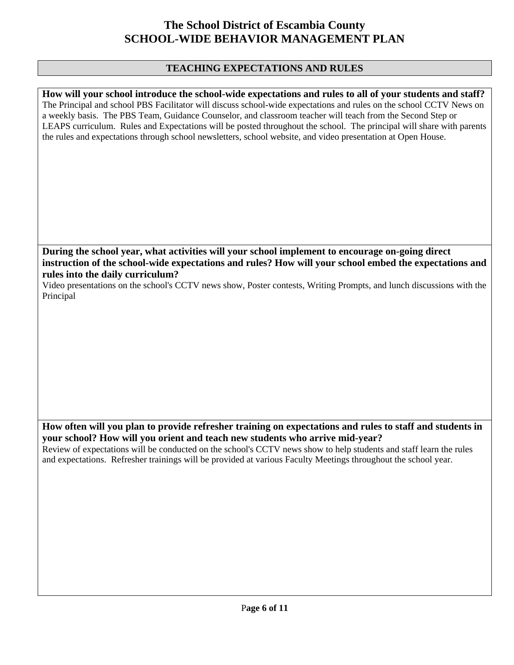#### **TEACHING EXPECTATIONS AND RULES**

**How will your school introduce the school-wide expectations and rules to all of your students and staff?**  The Principal and school PBS Facilitator will discuss school-wide expectations and rules on the school CCTV News on a weekly basis. The PBS Team, Guidance Counselor, and classroom teacher will teach from the Second Step or LEAPS curriculum. Rules and Expectations will be posted throughout the school. The principal will share with parents the rules and expectations through school newsletters, school website, and video presentation at Open House.

**During the school year, what activities will your school implement to encourage on-going direct instruction of the school-wide expectations and rules? How will your school embed the expectations and rules into the daily curriculum?** 

Video presentations on the school's CCTV news show, Poster contests, Writing Prompts, and lunch discussions with the Principal

**How often will you plan to provide refresher training on expectations and rules to staff and students in your school? How will you orient and teach new students who arrive mid-year?** 

Review of expectations will be conducted on the school's CCTV news show to help students and staff learn the rules and expectations. Refresher trainings will be provided at various Faculty Meetings throughout the school year.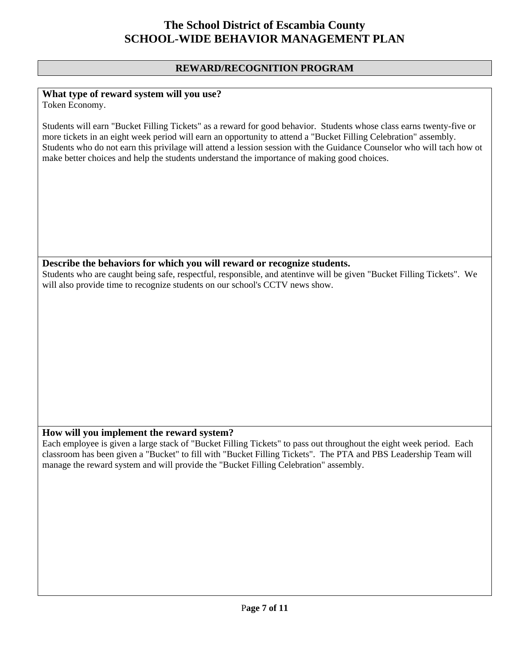#### **REWARD/RECOGNITION PROGRAM**

#### **What type of reward system will you use?**

Token Economy.

Students will earn "Bucket Filling Tickets" as a reward for good behavior. Students whose class earns twenty-five or more tickets in an eight week period will earn an opportunity to attend a "Bucket Filling Celebration" assembly. Students who do not earn this privilage will attend a lession session with the Guidance Counselor who will tach how ot make better choices and help the students understand the importance of making good choices.

#### **Describe the behaviors for which you will reward or recognize students.**

Students who are caught being safe, respectful, responsible, and atentinve will be given "Bucket Filling Tickets". We will also provide time to recognize students on our school's CCTV news show.

#### **How will you implement the reward system?**

Each employee is given a large stack of "Bucket Filling Tickets" to pass out throughout the eight week period. Each classroom has been given a "Bucket" to fill with "Bucket Filling Tickets". The PTA and PBS Leadership Team will manage the reward system and will provide the "Bucket Filling Celebration" assembly.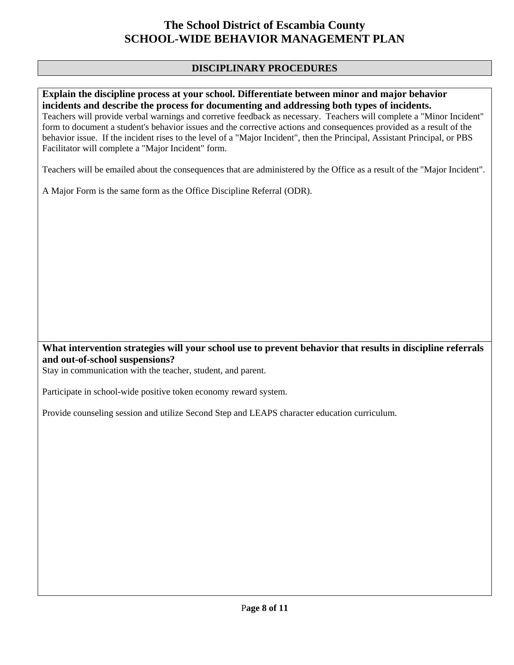#### **DISCIPLINARY PROCEDURES**

#### **Explain the discipline process at your school. Differentiate between minor and major behavior incidents and describe the process for documenting and addressing both types of incidents.**

Teachers will provide verbal warnings and corretive feedback as necessary. Teachers will complete a "Minor Incident" form to document a student's behavior issues and the corrective actions and consequences provided as a result of the behavior issue. If the incident rises to the level of a "Major Incident", then the Principal, Assistant Principal, or PBS Facilitator will complete a "Major Incident" form.

Teachers will be emailed about the consequences that are administered by the Office as a result of the "Major Incident".

A Major Form is the same form as the Office Discipline Referral (ODR).

#### **What intervention strategies will your school use to prevent behavior that results in discipline referrals and out-of-school suspensions?**

Stay in communication with the teacher, student, and parent.

Participate in school-wide positive token economy reward system.

Provide counseling session and utilize Second Step and LEAPS character education curriculum.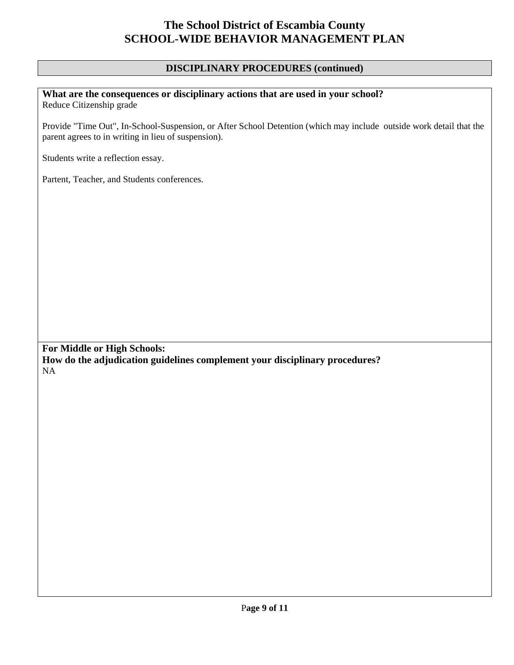#### **DISCIPLINARY PROCEDURES (continued)**

# **What are the consequences or disciplinary actions that are used in your school?**

Reduce Citizenship grade

Provide "Time Out", In-School-Suspension, or After School Detention (which may include outside work detail that the parent agrees to in writing in lieu of suspension).

Students write a reflection essay.

Partent, Teacher, and Students conferences.

**For Middle or High Schools: How do the adjudication guidelines complement your disciplinary procedures?**  NA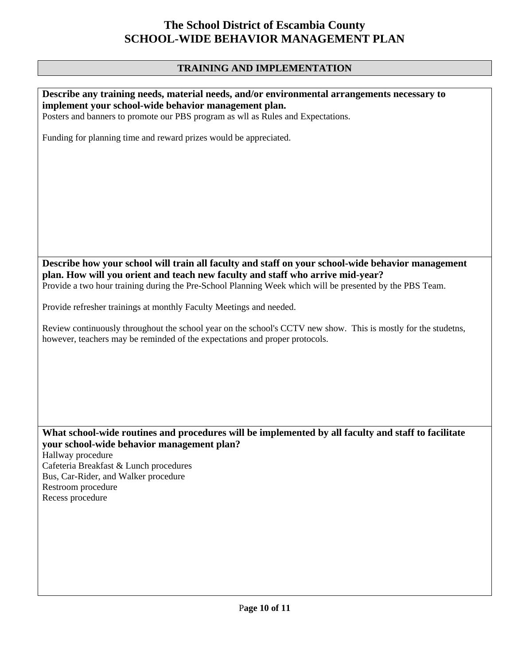## **TRAINING AND IMPLEMENTATION**

| Describe any training needs, material needs, and/or environmental arrangements necessary to<br>implement your school-wide behavior management plan.<br>Posters and banners to promote our PBS program as wll as Rules and Expectations.                                                            |
|----------------------------------------------------------------------------------------------------------------------------------------------------------------------------------------------------------------------------------------------------------------------------------------------------|
| Funding for planning time and reward prizes would be appreciated.                                                                                                                                                                                                                                  |
|                                                                                                                                                                                                                                                                                                    |
| Describe how your school will train all faculty and staff on your school-wide behavior management<br>plan. How will you orient and teach new faculty and staff who arrive mid-year?<br>Provide a two hour training during the Pre-School Planning Week which will be presented by the PBS Team.    |
| Provide refresher trainings at monthly Faculty Meetings and needed.                                                                                                                                                                                                                                |
| Review continuously throughout the school year on the school's CCTV new show. This is mostly for the studetns,<br>however, teachers may be reminded of the expectations and proper protocols.                                                                                                      |
|                                                                                                                                                                                                                                                                                                    |
| What school-wide routines and procedures will be implemented by all faculty and staff to facilitate<br>your school-wide behavior management plan?<br>Hallway procedure<br>Cafeteria Breakfast & Lunch procedures<br>Bus, Car-Rider, and Walker procedure<br>Restroom procedure<br>Recess procedure |